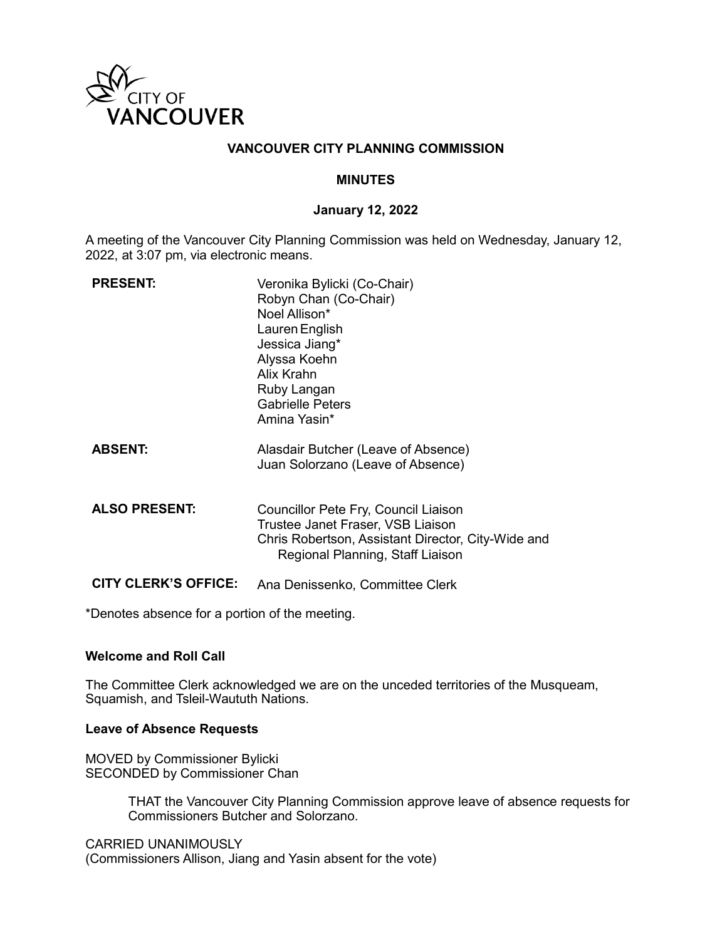

## **VANCOUVER CITY PLANNING COMMISSION**

### **MINUTES**

### **January 12, 2022**

A meeting of the Vancouver City Planning Commission was held on Wednesday, January 12, 2022, at 3:07 pm, via electronic means.

| <b>PRESENT:</b>             | Veronika Bylicki (Co-Chair)<br>Robyn Chan (Co-Chair)<br>Noel Allison*<br>Lauren English<br>Jessica Jiang*<br>Alyssa Koehn<br>Alix Krahn<br>Ruby Langan<br><b>Gabrielle Peters</b><br>Amina Yasin* |
|-----------------------------|---------------------------------------------------------------------------------------------------------------------------------------------------------------------------------------------------|
| <b>ABSENT:</b>              | Alasdair Butcher (Leave of Absence)<br>Juan Solorzano (Leave of Absence)                                                                                                                          |
| <b>ALSO PRESENT:</b>        | Councillor Pete Fry, Council Liaison<br>Trustee Janet Fraser, VSB Liaison<br>Chris Robertson, Assistant Director, City-Wide and<br>Regional Planning, Staff Liaison                               |
| <b>CITY CLERK'S OFFICE:</b> | Ana Denissenko, Committee Clerk                                                                                                                                                                   |

\*Denotes absence for a portion of the meeting.

### **Welcome and Roll Call**

The Committee Clerk acknowledged we are on the unceded territories of the Musqueam, Squamish, and Tsleil-Waututh Nations.

### **Leave of Absence Requests**

MOVED by Commissioner Bylicki SECONDED by Commissioner Chan

> THAT the Vancouver City Planning Commission approve leave of absence requests for Commissioners Butcher and Solorzano.

CARRIED UNANIMOUSLY (Commissioners Allison, Jiang and Yasin absent for the vote)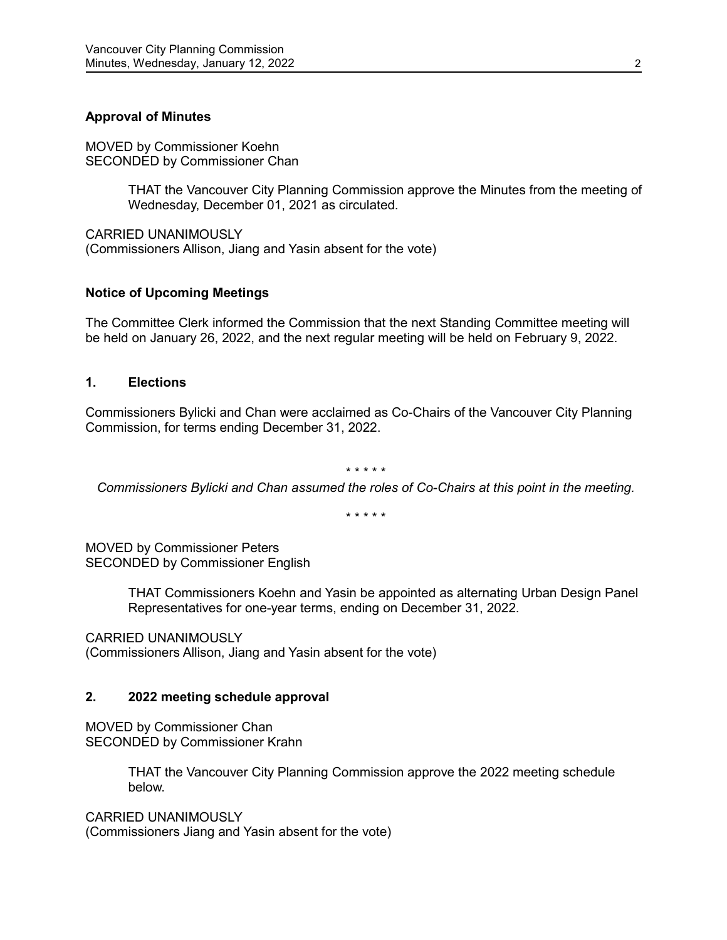# **Approval of Minutes**

MOVED by Commissioner Koehn SECONDED by Commissioner Chan

> THAT the Vancouver City Planning Commission approve the Minutes from the meeting of Wednesday, December 01, 2021 as circulated.

CARRIED UNANIMOUSLY (Commissioners Allison, Jiang and Yasin absent for the vote)

# **Notice of Upcoming Meetings**

The Committee Clerk informed the Commission that the next Standing Committee meeting will be held on January 26, 2022, and the next regular meeting will be held on February 9, 2022.

# **1. Elections**

Commissioners Bylicki and Chan were acclaimed as Co-Chairs of the Vancouver City Planning Commission, for terms ending December 31, 2022.

#### \* \* \* \* \*

*Commissioners Bylicki and Chan assumed the roles of Co-Chairs at this point in the meeting.*

\* \* \* \* \*

MOVED by Commissioner Peters SECONDED by Commissioner English

> THAT Commissioners Koehn and Yasin be appointed as alternating Urban Design Panel Representatives for one-year terms, ending on December 31, 2022.

CARRIED UNANIMOUSLY

(Commissioners Allison, Jiang and Yasin absent for the vote)

### **2. 2022 meeting schedule approval**

MOVED by Commissioner Chan SECONDED by Commissioner Krahn

> THAT the Vancouver City Planning Commission approve the 2022 meeting schedule below.

CARRIED UNANIMOUSLY (Commissioners Jiang and Yasin absent for the vote)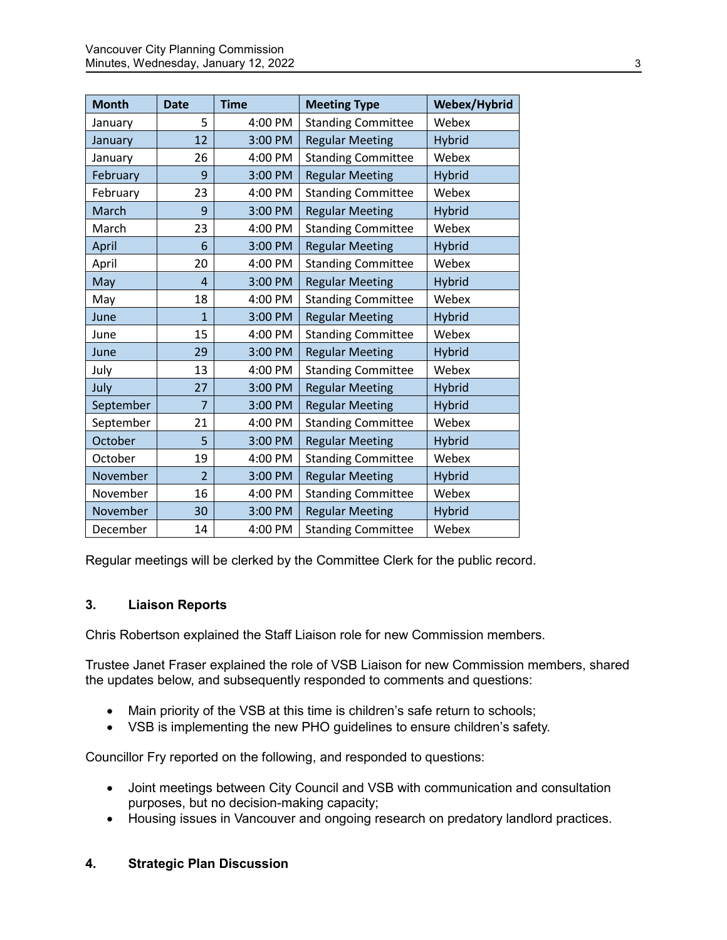| <b>Month</b> | <b>Date</b>    | <b>Time</b> | <b>Meeting Type</b>       | Webex/Hybrid  |
|--------------|----------------|-------------|---------------------------|---------------|
| January      | 5              | 4:00 PM     | <b>Standing Committee</b> | Webex         |
| January      | 12             | 3:00 PM     | <b>Regular Meeting</b>    | <b>Hybrid</b> |
| January      | 26             | 4:00 PM     | <b>Standing Committee</b> | Webex         |
| February     | 9              | 3:00 PM     | <b>Regular Meeting</b>    | <b>Hybrid</b> |
| February     | 23             | 4:00 PM     | <b>Standing Committee</b> | Webex         |
| March        | 9              | 3:00 PM     | <b>Regular Meeting</b>    | <b>Hybrid</b> |
| March        | 23             | 4:00 PM     | <b>Standing Committee</b> | Webex         |
| April        | 6              | 3:00 PM     | <b>Regular Meeting</b>    | <b>Hybrid</b> |
| April        | 20             | 4:00 PM     | <b>Standing Committee</b> | Webex         |
| May          | 4              | 3:00 PM     | <b>Regular Meeting</b>    | <b>Hybrid</b> |
| May          | 18             | 4:00 PM     | <b>Standing Committee</b> | Webex         |
| June         | $\mathbf{1}$   | 3:00 PM     | <b>Regular Meeting</b>    | <b>Hybrid</b> |
| June         | 15             | 4:00 PM     | <b>Standing Committee</b> | Webex         |
| June         | 29             | 3:00 PM     | <b>Regular Meeting</b>    | <b>Hybrid</b> |
| July         | 13             | 4:00 PM     | <b>Standing Committee</b> | Webex         |
| July         | 27             | 3:00 PM     | <b>Regular Meeting</b>    | <b>Hybrid</b> |
| September    | 7              | 3:00 PM     | <b>Regular Meeting</b>    | <b>Hybrid</b> |
| September    | 21             | 4:00 PM     | <b>Standing Committee</b> | Webex         |
| October      | 5              | 3:00 PM     | <b>Regular Meeting</b>    | <b>Hybrid</b> |
| October      | 19             | 4:00 PM     | <b>Standing Committee</b> | Webex         |
| November     | $\overline{2}$ | 3:00 PM     | <b>Regular Meeting</b>    | <b>Hybrid</b> |
| November     | 16             | 4:00 PM     | <b>Standing Committee</b> | Webex         |
| November     | 30             | 3:00 PM     | <b>Regular Meeting</b>    | <b>Hybrid</b> |
| December     | 14             | 4:00 PM     | <b>Standing Committee</b> | Webex         |

Regular meetings will be clerked by the Committee Clerk for the public record.

# **3. Liaison Reports**

Chris Robertson explained the Staff Liaison role for new Commission members.

Trustee Janet Fraser explained the role of VSB Liaison for new Commission members, shared the updates below, and subsequently responded to comments and questions:

- Main priority of the VSB at this time is children's safe return to schools;
- VSB is implementing the new PHO guidelines to ensure children's safety.

Councillor Fry reported on the following, and responded to questions:

- Joint meetings between City Council and VSB with communication and consultation purposes, but no decision-making capacity;
- Housing issues in Vancouver and ongoing research on predatory landlord practices.

### **4. Strategic Plan Discussion**